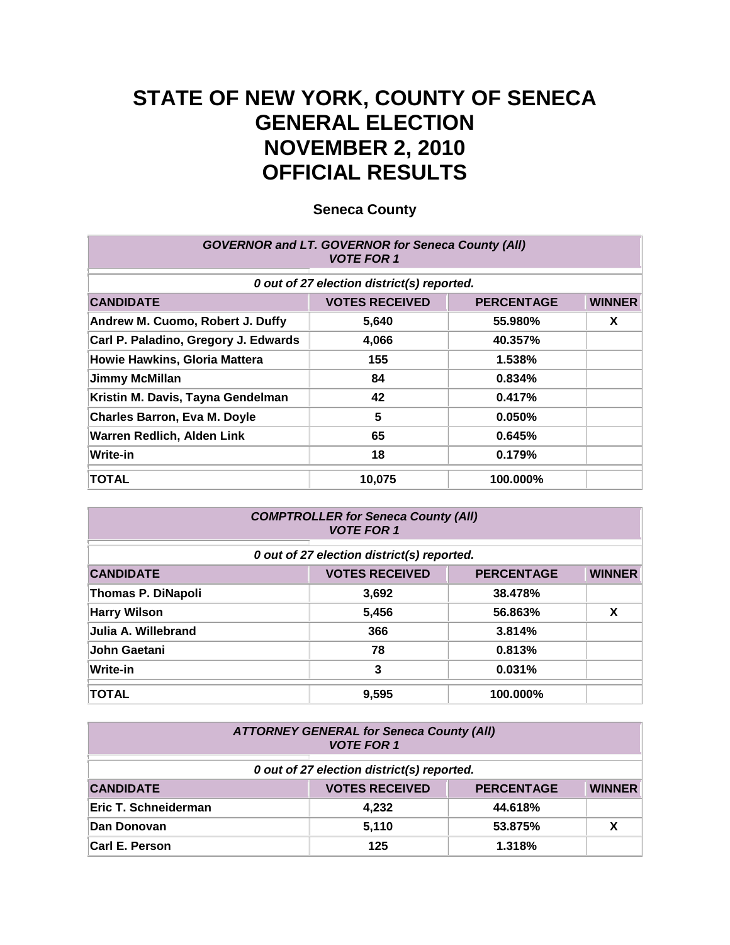# **STATE OF NEW YORK, COUNTY OF SENECA GENERAL ELECTION NOVEMBER 2, 2010 OFFICIAL RESULTS**

| <b>GOVERNOR and LT. GOVERNOR for Seneca County (All)</b><br><b>VOTE FOR 1</b> |                                            |                   |               |
|-------------------------------------------------------------------------------|--------------------------------------------|-------------------|---------------|
|                                                                               | 0 out of 27 election district(s) reported. |                   |               |
| <b>CANDIDATE</b>                                                              | <b>VOTES RECEIVED</b>                      | <b>PERCENTAGE</b> | <b>WINNER</b> |
| Andrew M. Cuomo, Robert J. Duffy                                              | 5,640                                      | 55.980%           | X             |
| Carl P. Paladino, Gregory J. Edwards                                          | 4,066                                      | 40.357%           |               |
| Howie Hawkins, Gloria Mattera                                                 | 155                                        | 1.538%            |               |
| <b>Jimmy McMillan</b>                                                         | 84                                         | 0.834%            |               |
| Kristin M. Davis, Tayna Gendelman                                             | 42                                         | 0.417%            |               |
| <b>Charles Barron, Eva M. Doyle</b>                                           | 5                                          | 0.050%            |               |
| Warren Redlich, Alden Link                                                    | 65                                         | 0.645%            |               |
| <b>Write-in</b>                                                               | 18                                         | 0.179%            |               |
| <b>TOTAL</b>                                                                  | 10,075                                     | 100.000%          |               |

| <b>COMPTROLLER for Seneca County (All)</b><br><b>VOTE FOR 1</b> |                                            |                   |               |
|-----------------------------------------------------------------|--------------------------------------------|-------------------|---------------|
|                                                                 | 0 out of 27 election district(s) reported. |                   |               |
| <b>CANDIDATE</b>                                                | <b>VOTES RECEIVED</b>                      | <b>PERCENTAGE</b> | <b>WINNER</b> |
| <b>Thomas P. DiNapoli</b>                                       | 3,692                                      | 38.478%           |               |
| <b>Harry Wilson</b>                                             | 5,456                                      | 56.863%           | X             |
| Julia A. Willebrand                                             | 366                                        | 3.814%            |               |
| John Gaetani                                                    | 78                                         | 0.813%            |               |
| <b>Write-in</b>                                                 | 3                                          | 0.031%            |               |
| <b>TOTAL</b>                                                    | 9.595                                      | 100.000%          |               |

| <b>ATTORNEY GENERAL for Seneca County (All)</b><br><b>VOTE FOR 1</b> |                                            |                   |               |  |
|----------------------------------------------------------------------|--------------------------------------------|-------------------|---------------|--|
|                                                                      | 0 out of 27 election district(s) reported. |                   |               |  |
| <b>CANDIDATE</b>                                                     | <b>VOTES RECEIVED</b>                      | <b>PERCENTAGE</b> | <b>WINNER</b> |  |
| Eric T. Schneiderman                                                 | 4,232                                      | 44.618%           |               |  |
| Dan Donovan                                                          | 5,110                                      | 53.875%           |               |  |
| Carl E. Person                                                       | 125                                        | 1.318%            |               |  |

**Seneca County**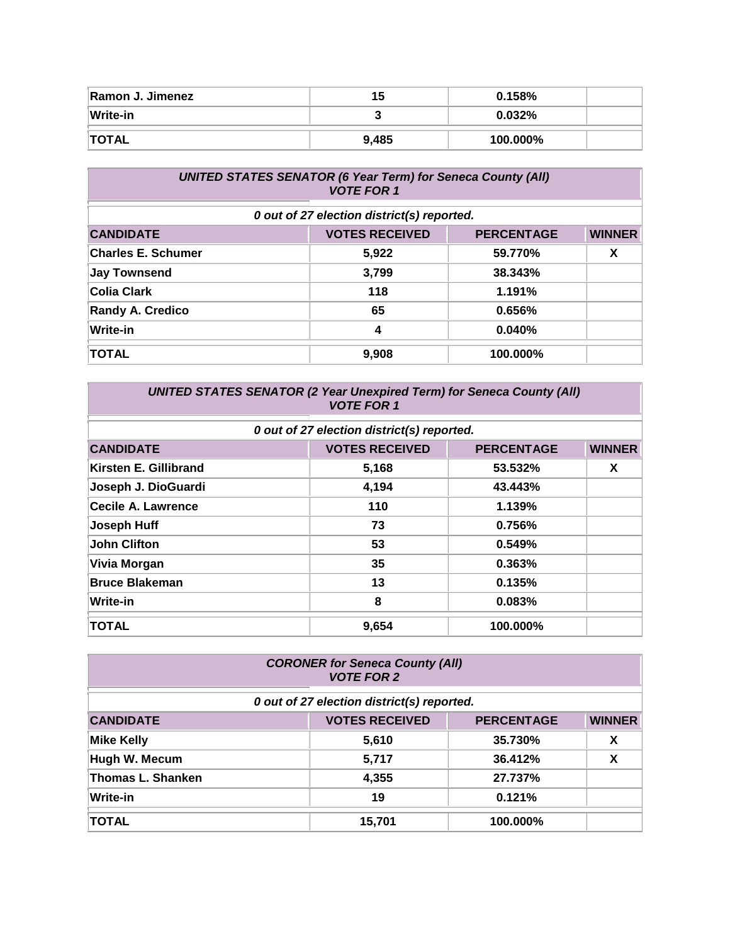| Ramon J. Jimenez | כ1    | 0.158%   |  |
|------------------|-------|----------|--|
| Write-in         |       | 0.032%   |  |
| <b>TOTAL</b>     | 9,485 | 100.000% |  |

| <b>UNITED STATES SENATOR (6 Year Term) for Seneca County (All)</b><br><b>VOTE FOR 1</b> |                                            |                   |               |
|-----------------------------------------------------------------------------------------|--------------------------------------------|-------------------|---------------|
|                                                                                         | 0 out of 27 election district(s) reported. |                   |               |
| <b>CANDIDATE</b>                                                                        | <b>VOTES RECEIVED</b>                      | <b>PERCENTAGE</b> | <b>WINNER</b> |
| <b>Charles E. Schumer</b>                                                               | 5,922                                      | 59.770%           | X             |
| <b>Jay Townsend</b>                                                                     | 3,799                                      | 38.343%           |               |
| <b>Colia Clark</b>                                                                      | 118                                        | 1.191%            |               |
| <b>Randy A. Credico</b>                                                                 | 65                                         | 0.656%            |               |
| Write-in                                                                                | 4                                          | 0.040%            |               |
| <b>TOTAL</b>                                                                            | 9,908                                      | 100.000%          |               |

| <b>UNITED STATES SENATOR (2 Year Unexpired Term) for Seneca County (All)</b><br><b>VOTE FOR 1</b> |                                            |                   |               |
|---------------------------------------------------------------------------------------------------|--------------------------------------------|-------------------|---------------|
|                                                                                                   | 0 out of 27 election district(s) reported. |                   |               |
| <b>CANDIDATE</b>                                                                                  | <b>VOTES RECEIVED</b>                      | <b>PERCENTAGE</b> | <b>WINNER</b> |
| Kirsten E. Gillibrand                                                                             | 5,168                                      | 53.532%           | X             |
| Joseph J. DioGuardi                                                                               | 4,194                                      | 43.443%           |               |
| Cecile A. Lawrence                                                                                | 110                                        | 1.139%            |               |
| Joseph Huff                                                                                       | 73                                         | 0.756%            |               |
| <b>John Clifton</b>                                                                               | 53                                         | 0.549%            |               |
| Vivia Morgan                                                                                      | 35                                         | 0.363%            |               |
| <b>Bruce Blakeman</b>                                                                             | 13                                         | 0.135%            |               |
| Write-in                                                                                          | 8                                          | 0.083%            |               |
| <b>TOTAL</b>                                                                                      | 9,654                                      | 100.000%          |               |

| <b>CORONER for Seneca County (All)</b><br><b>VOTE FOR 2</b> |                                            |                   |               |
|-------------------------------------------------------------|--------------------------------------------|-------------------|---------------|
|                                                             | 0 out of 27 election district(s) reported. |                   |               |
| <b>CANDIDATE</b>                                            | <b>VOTES RECEIVED</b>                      | <b>PERCENTAGE</b> | <b>WINNER</b> |
| <b>Mike Kelly</b>                                           | 5,610                                      | 35.730%           | X             |
| Hugh W. Mecum                                               | 5,717                                      | 36.412%           | X             |
| <b>Thomas L. Shanken</b>                                    | 4,355                                      | 27.737%           |               |
| <b>Write-in</b>                                             | 19                                         | 0.121%            |               |
| <b>TOTAL</b>                                                | 15,701                                     | 100.000%          |               |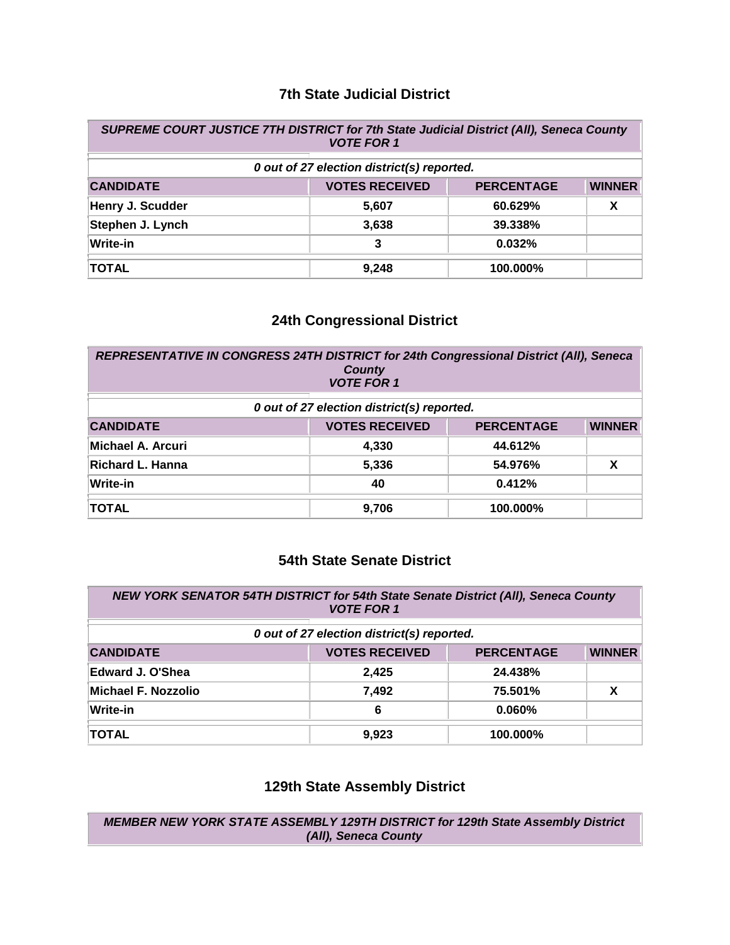#### **7th State Judicial District**

| SUPREME COURT JUSTICE 7TH DISTRICT for 7th State Judicial District (All), Seneca County<br><b>VOTE FOR 1</b> |                       |                   |               |
|--------------------------------------------------------------------------------------------------------------|-----------------------|-------------------|---------------|
| 0 out of 27 election district(s) reported.                                                                   |                       |                   |               |
| <b>CANDIDATE</b>                                                                                             | <b>VOTES RECEIVED</b> | <b>PERCENTAGE</b> | <b>WINNER</b> |
| Henry J. Scudder                                                                                             | 5,607                 | 60.629%           | х             |
| Stephen J. Lynch                                                                                             | 3,638                 | 39.338%           |               |
| <b>Write-in</b>                                                                                              | 3                     | 0.032%            |               |
| <b>TOTAL</b>                                                                                                 | 9,248                 | 100.000%          |               |

## **24th Congressional District**

| REPRESENTATIVE IN CONGRESS 24TH DISTRICT for 24th Congressional District (All), Seneca<br><b>County</b><br><b>VOTE FOR 1</b> |                                            |                   |               |  |
|------------------------------------------------------------------------------------------------------------------------------|--------------------------------------------|-------------------|---------------|--|
|                                                                                                                              | 0 out of 27 election district(s) reported. |                   |               |  |
| <b>CANDIDATE</b>                                                                                                             | <b>VOTES RECEIVED</b>                      | <b>PERCENTAGE</b> | <b>WINNER</b> |  |
| Michael A. Arcuri                                                                                                            | 4,330                                      | 44.612%           |               |  |
| Richard L. Hanna                                                                                                             | 5,336                                      | 54.976%           | X             |  |
| <b>Write-in</b>                                                                                                              | 40                                         | 0.412%            |               |  |
| <b>TOTAL</b>                                                                                                                 | 9,706                                      | 100.000%          |               |  |

### **54th State Senate District**

| NEW YORK SENATOR 54TH DISTRICT for 54th State Senate District (All), Seneca County<br><b>VOTE FOR 1</b> |                                            |                   |               |
|---------------------------------------------------------------------------------------------------------|--------------------------------------------|-------------------|---------------|
|                                                                                                         | 0 out of 27 election district(s) reported. |                   |               |
| <b>CANDIDATE</b>                                                                                        | <b>VOTES RECEIVED</b>                      | <b>PERCENTAGE</b> | <b>WINNER</b> |
| <b>Edward J. O'Shea</b>                                                                                 | 2.425                                      | 24.438%           |               |
| Michael F. Nozzolio                                                                                     | 7,492                                      | 75.501%           | χ             |
| <b>Write-in</b>                                                                                         | 6                                          | $0.060\%$         |               |
| <b>TOTAL</b>                                                                                            | 9,923                                      | 100.000%          |               |

#### **129th State Assembly District**

*MEMBER NEW YORK STATE ASSEMBLY 129TH DISTRICT for 129th State Assembly District (All), Seneca County*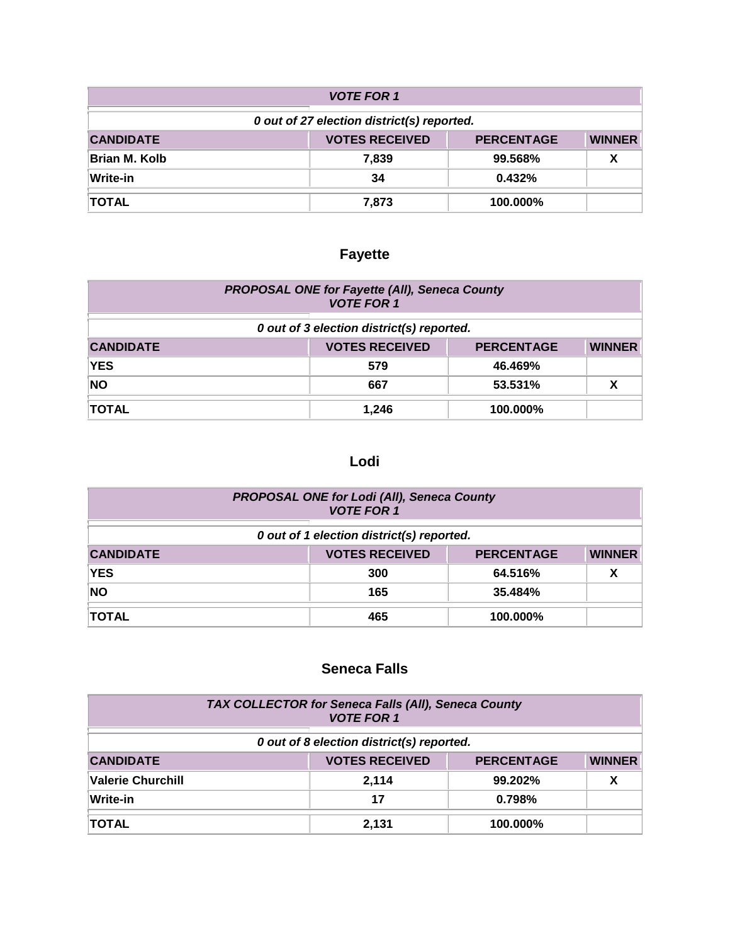| <b>VOTE FOR 1</b>                          |                       |                   |               |
|--------------------------------------------|-----------------------|-------------------|---------------|
| 0 out of 27 election district(s) reported. |                       |                   |               |
| <b>CANDIDATE</b>                           | <b>VOTES RECEIVED</b> | <b>PERCENTAGE</b> | <b>WINNER</b> |
| <b>Brian M. Kolb</b>                       | 7,839                 | 99.568%           | χ             |
| Write-in                                   | 34                    | 0.432%            |               |
| <b>TOTAL</b>                               | 7,873                 | 100.000%          |               |

# **Fayette**

| <b>PROPOSAL ONE for Fayette (All), Seneca County</b><br><b>VOTE FOR 1</b> |                                                             |          |  |  |
|---------------------------------------------------------------------------|-------------------------------------------------------------|----------|--|--|
| 0 out of 3 election district(s) reported.                                 |                                                             |          |  |  |
| <b>CANDIDATE</b>                                                          | <b>VOTES RECEIVED</b><br><b>WINNER</b><br><b>PERCENTAGE</b> |          |  |  |
| <b>YES</b>                                                                | 579                                                         | 46.469%  |  |  |
| <b>NO</b>                                                                 | 667                                                         | 53.531%  |  |  |
| <b>TOTAL</b>                                                              | 1.246                                                       | 100.000% |  |  |

# **Lodi**

| PROPOSAL ONE for Lodi (All), Seneca County<br><b>VOTE FOR 1</b> |                       |                   |               |  |  |  |
|-----------------------------------------------------------------|-----------------------|-------------------|---------------|--|--|--|
| 0 out of 1 election district(s) reported.                       |                       |                   |               |  |  |  |
| <b>CANDIDATE</b>                                                | <b>VOTES RECEIVED</b> | <b>PERCENTAGE</b> | <b>WINNER</b> |  |  |  |
| <b>YES</b>                                                      | 300                   | 64.516%           |               |  |  |  |
| <b>NO</b>                                                       | 165                   | 35.484%           |               |  |  |  |
| <b>TOTAL</b>                                                    | 465                   | 100.000%          |               |  |  |  |

# **Seneca Falls**

| TAX COLLECTOR for Seneca Falls (All), Seneca County<br><b>VOTE FOR 1</b> |  |                       |                   |               |  |  |
|--------------------------------------------------------------------------|--|-----------------------|-------------------|---------------|--|--|
| 0 out of 8 election district(s) reported.                                |  |                       |                   |               |  |  |
| <b>CANDIDATE</b>                                                         |  | <b>VOTES RECEIVED</b> | <b>PERCENTAGE</b> | <b>WINNER</b> |  |  |
| <b>Valerie Churchill</b>                                                 |  | 2.114                 | 99.202%           |               |  |  |
| Write-in                                                                 |  | 17                    | 0.798%            |               |  |  |
| <b>TOTAL</b>                                                             |  | 2,131                 | 100.000%          |               |  |  |